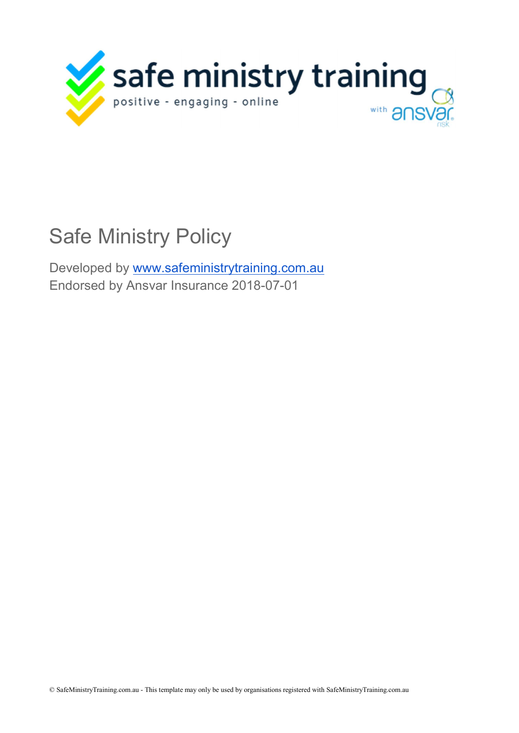

# Safe Ministry Policy

Developed by www.safeministrytraining.com.au Endorsed by Ansvar Insurance 2018-07-01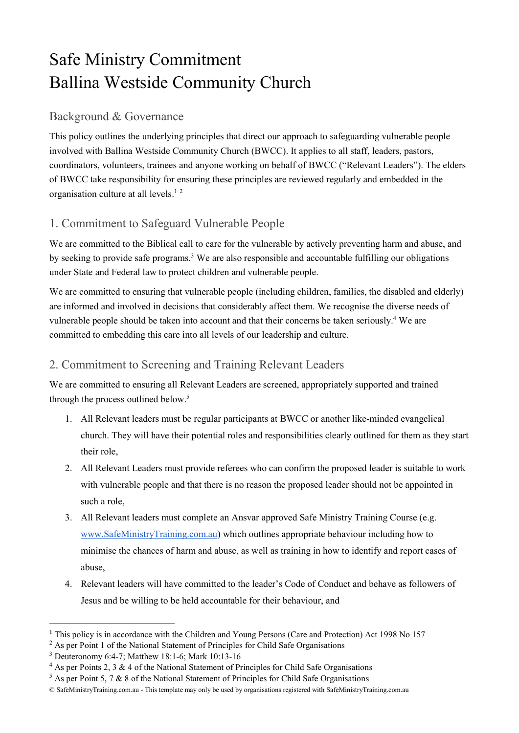# Safe Ministry Commitment Ballina Westside Community Church

### Background & Governance

This policy outlines the underlying principles that direct our approach to safeguarding vulnerable people involved with Ballina Westside Community Church (BWCC). It applies to all staff, leaders, pastors, coordinators, volunteers, trainees and anyone working on behalf of BWCC ("Relevant Leaders"). The elders of BWCC take responsibility for ensuring these principles are reviewed regularly and embedded in the organisation culture at all levels.<sup>12</sup>

# 1. Commitment to Safeguard Vulnerable People

We are committed to the Biblical call to care for the vulnerable by actively preventing harm and abuse, and by seeking to provide safe programs.<sup>3</sup> We are also responsible and accountable fulfilling our obligations under State and Federal law to protect children and vulnerable people.

We are committed to ensuring that vulnerable people (including children, families, the disabled and elderly) are informed and involved in decisions that considerably affect them. We recognise the diverse needs of vulnerable people should be taken into account and that their concerns be taken seriously.<sup>4</sup> We are committed to embedding this care into all levels of our leadership and culture.

# 2. Commitment to Screening and Training Relevant Leaders

We are committed to ensuring all Relevant Leaders are screened, appropriately supported and trained through the process outlined below.<sup>5</sup>

- 1. All Relevant leaders must be regular participants at BWCC or another like-minded evangelical church. They will have their potential roles and responsibilities clearly outlined for them as they start their role,
- 2. All Relevant Leaders must provide referees who can confirm the proposed leader is suitable to work with vulnerable people and that there is no reason the proposed leader should not be appointed in such a role,
- 3. All Relevant leaders must complete an Ansvar approved Safe Ministry Training Course (e.g. www.SafeMinistryTraining.com.au) which outlines appropriate behaviour including how to minimise the chances of harm and abuse, as well as training in how to identify and report cases of abuse,
- 4. Relevant leaders will have committed to the leader's Code of Conduct and behave as followers of Jesus and be willing to be held accountable for their behaviour, and

-

<sup>&</sup>lt;sup>1</sup> This policy is in accordance with the Children and Young Persons (Care and Protection) Act 1998 No 157

<sup>&</sup>lt;sup>2</sup> As per Point 1 of the National Statement of Principles for Child Safe Organisations

<sup>3</sup> Deuteronomy 6:4-7; Matthew 18:1-6; Mark 10:13-16

 $4$  As per Points 2, 3 & 4 of the National Statement of Principles for Child Safe Organisations

 $5$  As per Point 5, 7 & 8 of the National Statement of Principles for Child Safe Organisations

<sup>©</sup> SafeMinistryTraining.com.au - This template may only be used by organisations registered with SafeMinistryTraining.com.au